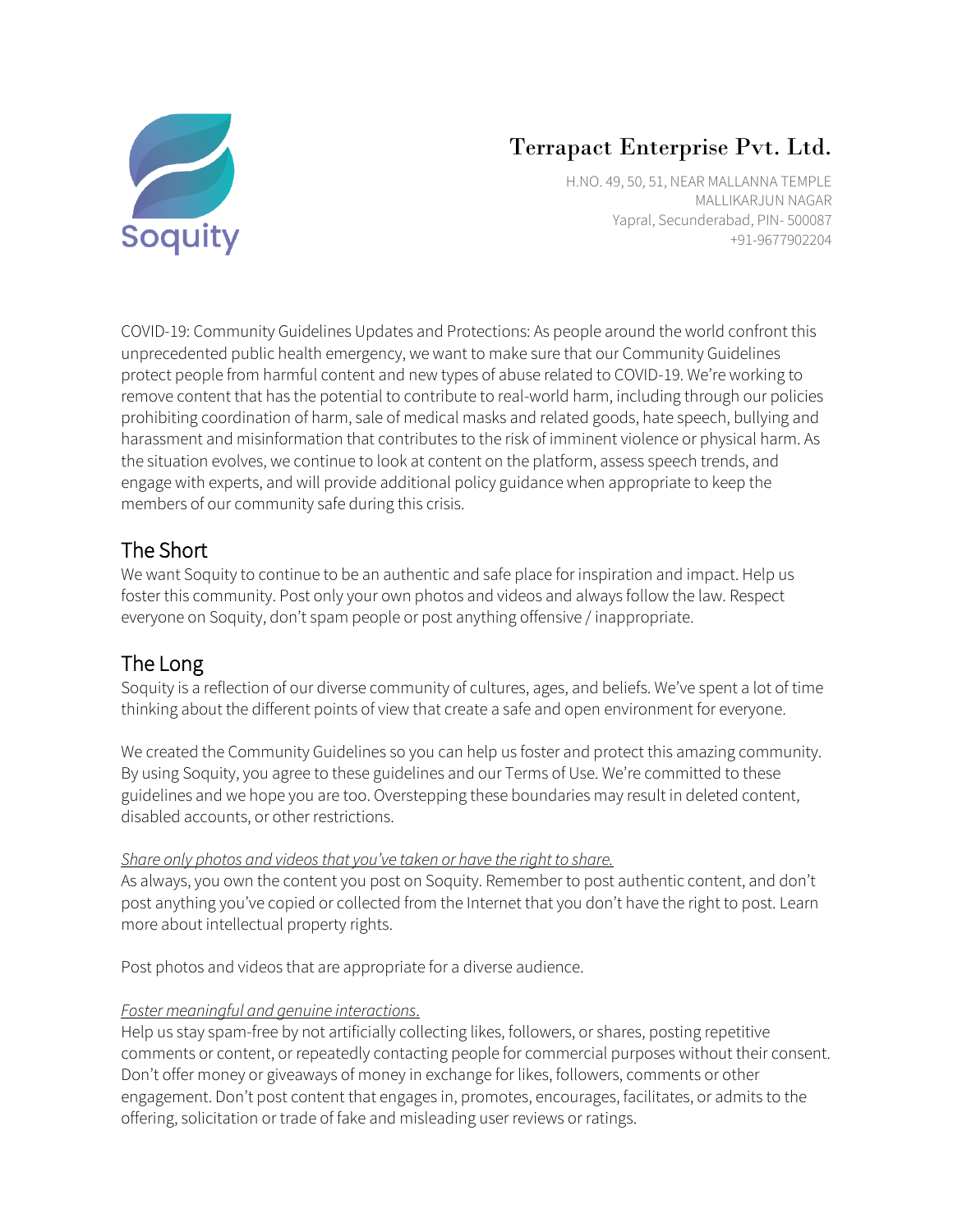

# Terrapact Enterprise Pvt. Ltd.

H.NO. 49, 50, 51, NEAR MALLANNA TEMPLE MALLIKARJUN NAGAR Yapral, Secunderabad, PIN- 500087 +91-9677902204

COVID-19: Community Guidelines Updates and Protections: As people around the world confront this unprecedented public health emergency, we want to make sure that our Community Guidelines protect people from harmful content and new types of abuse related to COVID-19. We're working to remove content that has the potential to contribute to real-world harm, including through our policies prohibiting coordination of harm, sale of medical masks and related goods, hate speech, bullying and harassment and misinformation that contributes to the risk of imminent violence or physical harm. As the situation evolves, we continue to look at content on the platform, assess speech trends, and engage with experts, and will provide additional policy guidance when appropriate to keep the members of our community safe during this crisis.

## The Short

We want Soquity to continue to be an authentic and safe place for inspiration and impact. Help us foster this community. Post only your own photos and videos and always follow the law. Respect everyone on Soquity, don't spam people or post anything offensive / inappropriate.

# The Long

Soquity is a reflection of our diverse community of cultures, ages, and beliefs. We've spent a lot of time thinking about the different points of view that create a safe and open environment for everyone.

We created the Community Guidelines so you can help us foster and protect this amazing community. By using Soquity, you agree to these guidelines and our Terms of Use. We're committed to these guidelines and we hope you are too. Overstepping these boundaries may result in deleted content, disabled accounts, or other restrictions.

### *Share only photos and videos that you've taken or have the right to share.*

As always, you own the content you post on Soquity. Remember to post authentic content, and don't post anything you've copied or collected from the Internet that you don't have the right to post. Learn more about intellectual property rights.

Post photos and videos that are appropriate for a diverse audience.

### *Foster meaningful and genuine interactions*.

Help us stay spam-free by not artificially collecting likes, followers, or shares, posting repetitive comments or content, or repeatedly contacting people for commercial purposes without their consent. Don't offer money or giveaways of money in exchange for likes, followers, comments or other engagement. Don't post content that engages in, promotes, encourages, facilitates, or admits to the offering, solicitation or trade of fake and misleading user reviews or ratings.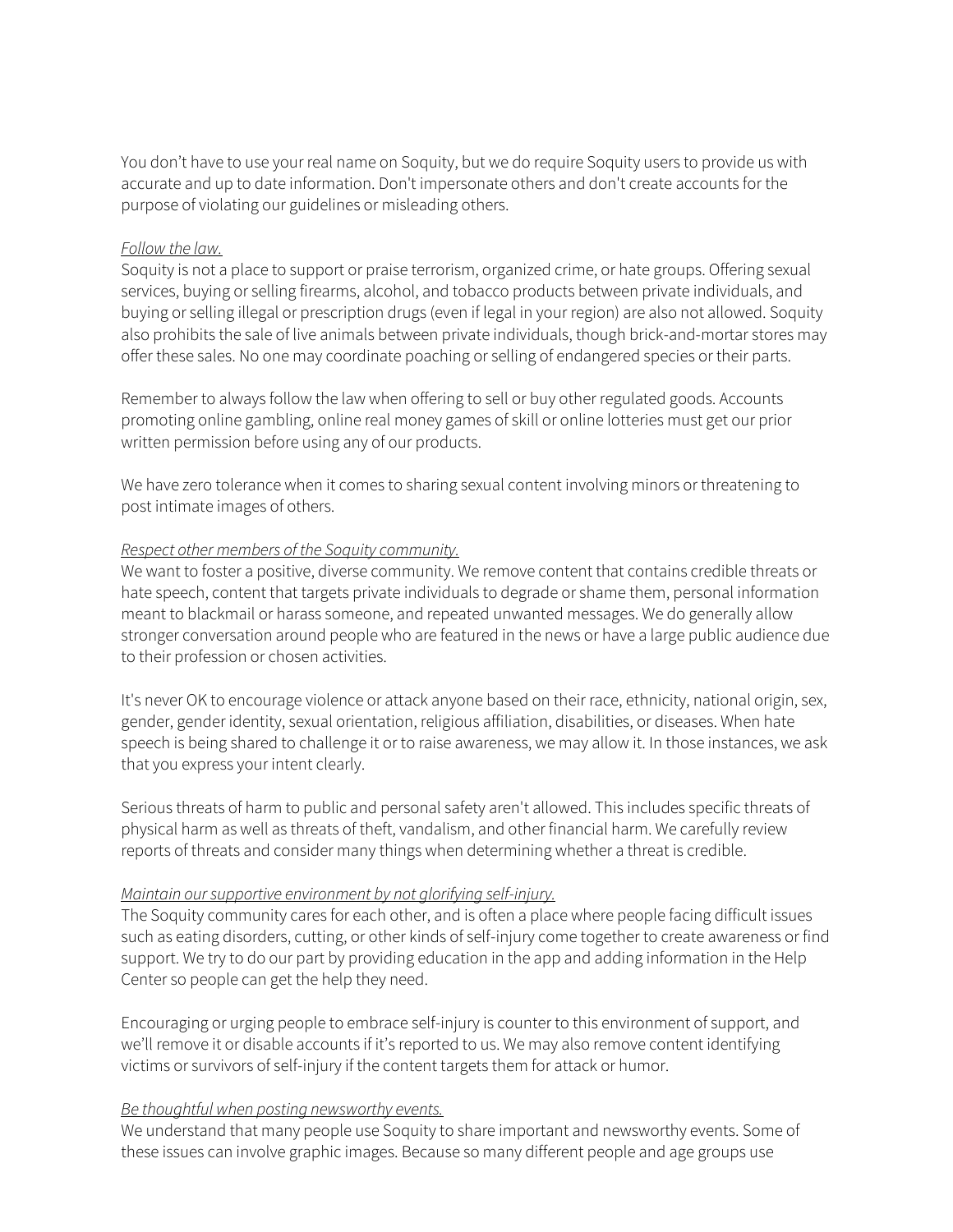You don't have to use your real name on Soquity, but we do require Soquity users to provide us with accurate and up to date information. Don't impersonate others and don't create accounts for the purpose of violating our guidelines or misleading others.

#### *Follow the law.*

Soquity is not a place to support or praise terrorism, organized crime, or hate groups. Offering sexual services, buying or selling firearms, alcohol, and tobacco products between private individuals, and buying or selling illegal or prescription drugs (even if legal in your region) are also not allowed. Soquity also prohibits the sale of live animals between private individuals, though brick-and-mortar stores may offer these sales. No one may coordinate poaching or selling of endangered species or their parts.

Remember to always follow the law when offering to sell or buy other regulated goods. Accounts promoting online gambling, online real money games of skill or online lotteries must get our prior written permission before using any of our products.

We have zero tolerance when it comes to sharing sexual content involving minors or threatening to post intimate images of others.

#### *Respect other members of the Soquity community.*

We want to foster a positive, diverse community. We remove content that contains credible threats or hate speech, content that targets private individuals to degrade or shame them, personal information meant to blackmail or harass someone, and repeated unwanted messages. We do generally allow stronger conversation around people who are featured in the news or have a large public audience due to their profession or chosen activities.

It's never OK to encourage violence or attack anyone based on their race, ethnicity, national origin, sex, gender, gender identity, sexual orientation, religious affiliation, disabilities, or diseases. When hate speech is being shared to challenge it or to raise awareness, we may allow it. In those instances, we ask that you express your intent clearly.

Serious threats of harm to public and personal safety aren't allowed. This includes specific threats of physical harm as well as threats of theft, vandalism, and other financial harm. We carefully review reports of threats and consider many things when determining whether a threat is credible.

#### *Maintain our supportive environment by not glorifying self-injury.*

The Soquity community cares for each other, and is often a place where people facing difficult issues such as eating disorders, cutting, or other kinds of self-injury come together to create awareness or find support. We try to do our part by providing education in the app and adding information in the Help Center so people can get the help they need.

Encouraging or urging people to embrace self-injury is counter to this environment of support, and we'll remove it or disable accounts if it's reported to us. We may also remove content identifying victims or survivors of self-injury if the content targets them for attack or humor.

#### *Be thoughtful when posting newsworthy events.*

We understand that many people use Soquity to share important and newsworthy events. Some of these issues can involve graphic images. Because so many different people and age groups use